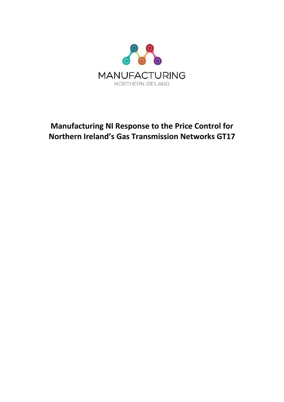

# **Manufacturing NI Response to the Price Control for Northern Ireland's Gas Transmission Networks GT17**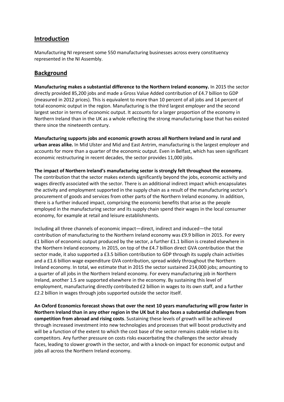### **Introduction**

Manufacturing NI represent some 550 manufacturing businesses across every constituency represented in the NI Assembly.

### **Background**

**Manufacturing makes a substantial difference to the Northern Ireland economy.** In 2015 the sector directly provided 85,200 jobs and made a Gross Value Added contribution of £4.7 billion to GDP (measured in 2012 prices). This is equivalent to more than 10 percent of all jobs and 14 percent of total economic output in the region. Manufacturing is the third largest employer and the second largest sector in terms of economic output. It accounts for a larger proportion of the economy in Northern Ireland than in the UK as a whole reflecting the strong manufacturing base that has existed there since the nineteenth century.

**Manufacturing supports jobs and economic growth across all Northern Ireland and in rural and urban areas alike.** In Mid Ulster and Mid and East Antrim, manufacturing is the largest employer and accounts for more than a quarter of the economic output. Even in Belfast, which has seen significant economic restructuring in recent decades, the sector provides 11,000 jobs.

**The impact of Northern Ireland's manufacturing sector is strongly felt throughout the economy.**  The contribution that the sector makes extends significantly beyond the jobs, economic activity and wages directly associated with the sector. There is an additional indirect impact which encapsulates the activity and employment supported in the supply chain as a result of the manufacturing sector's procurement of goods and services from other parts of the Northern Ireland economy. In addition, there is a further induced impact, comprising the economic benefits that arise as the people employed in the manufacturing sector and its supply chain spend their wages in the local consumer economy, for example at retail and leisure establishments.

Including all three channels of economic impact—direct, indirect and induced—the total contribution of manufacturing to the Northern Ireland economy was £9.9 billion in 2015. For every £1 billion of economic output produced by the sector, a further £1.1 billion is created elsewhere in the Northern Ireland economy. In 2015, on top of the £4.7 billion direct GVA contribution that the sector made, it also supported a £3.5 billion contribution to GDP through its supply chain activities and a £1.6 billion wage expenditure GVA contribution, spread widely throughout the Northern Ireland economy. In total, we estimate that in 2015 the sector sustained 214,000 jobs; amounting to a quarter of all jobs in the Northern Ireland economy. For every manufacturing job in Northern Ireland, another 1.5 are supported elsewhere in the economy. By sustaining this level of employment, manufacturing directly contributed £2 billion in wages to its own staff, and a further £2.2 billion in wages through jobs supported outside the sector itself.

**An Oxford Economics forecast shows that over the next 10 years manufacturing will grow faster in Northern Ireland than in any other region in the UK but it also faces a substantial challenges from competition from abroad and rising costs**. Sustaining these levels of growth will be achieved through increased investment into new technologies and processes that will boost productivity and will be a function of the extent to which the cost base of the sector remains stable relative to its competitors. Any further pressure on costs risks exacerbating the challenges the sector already faces, leading to slower growth in the sector, and with a knock-on impact for economic output and jobs all across the Northern Ireland economy.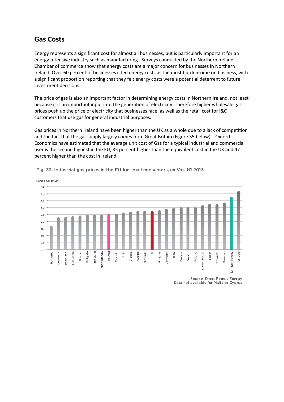## **Gas Costs**

Energy represents a significant cost for almost all businesses, but is particularly important for an energy-intensive industry such as manufacturing. Surveys conducted by the Northern Ireland Chamber of commerce show that energy costs are a major concern for businesses in Northern Ireland. Over 60 percent of businesses cited energy costs as the most burdensome on business, with a significant proportion reporting that they felt energy costs were a potential deterrent to future investment decisions.

The price of gas is also an important factor in determining energy costs in Northern Ireland, not least because it is an important input into the generation of electricity. Therefore higher wholesale gas prices push up the price of electricity that businesses face, as well as the retail cost for I&C customers that use gas for general industrial purposes.

Gas prices in Northern Ireland have been higher than the UK as a whole due to a lack of competition and the fact that the gas supply largely comes from Great Britain (Figure 35 below). Oxford Economics have estimated that the average unit cost of Gas for a typical industrial and commercial user is the second highest in the EU, 35 percent higher than the equivalent cost in the UK and 47 percent higher than the cost in Ireland.



Fig. 33. Industrial gas prices in the EU for small consumers, ex Vat, H1 2015

Source: Decc, Firmus Energy Data not available for Malta or Cyprus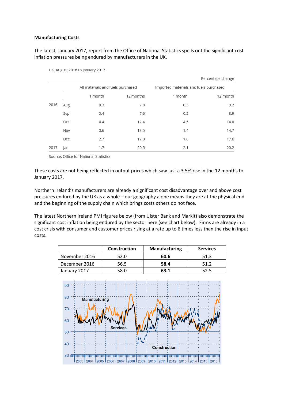#### **Manufacturing Costs**

#### The latest, January 2017, report from the Office of National Statistics spells out the significant cost inflation pressures being endured by manufacturers in the UK.

|      |     |                                   |           |                                        | Percentage change |
|------|-----|-----------------------------------|-----------|----------------------------------------|-------------------|
|      |     | All materials and fuels purchased |           | Imported materials and fuels purchased |                   |
|      |     | 1 month                           | 12 months | 1 month                                | 12 month          |
| 2016 | Aug | 0.3                               | 7.8       | 0.3                                    | 9.2               |
|      | Sep | 0.4                               | 7.6       | 0.2                                    | 8.9               |
|      | Oct | 4.4                               | 12.4      | 4.5                                    | 14.0              |
|      | Nov | $-0.6$                            | 13.5      | $-1.4$                                 | 14.7              |
|      | Dec | 2.7                               | 17.0      | 1.8                                    | 17.6              |
| 2017 | Jan | 1.7                               | 20.5      | 2.1                                    | 20.2              |

UK, August 2016 to January 2017

Source: Office for National Statistics

These costs are not being reflected in output prices which saw just a 3.5% rise in the 12 months to January 2017.

Northern Ireland's manufacturers are already a significant cost disadvantage over and above cost pressures endured by the UK as a whole – our geography alone means they are at the physical end and the beginning of the supply chain which brings costs others do not face.

The latest Northern Ireland PMI figures below (from Ulster Bank and Markit) also demonstrate the significant cost inflation being endured by the sector here (see chart below). Firms are already in a cost crisis with consumer and customer prices rising at a rate up to 6 times less than the rise in input costs.

|               | <b>Construction</b> | <b>Manufacturing</b> | <b>Services</b> |
|---------------|---------------------|----------------------|-----------------|
| November 2016 | 52.0                | 60.6                 | 51.3            |
| December 2016 | 56.5                | 58.4                 | 51.2            |
| January 2017  | 58.0                | 63.1                 | 52.5            |

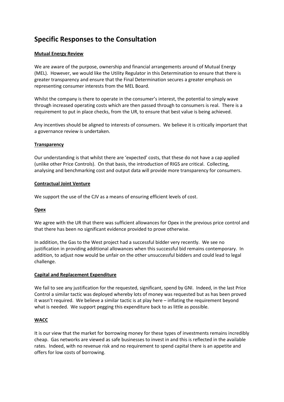# **Specific Responses to the Consultation**

#### **Mutual Energy Review**

We are aware of the purpose, ownership and financial arrangements around of Mutual Energy (MEL). However, we would like the Utility Regulator in this Determination to ensure that there is greater transparency and ensure that the Final Determination secures a greater emphasis on representing consumer interests from the MEL Board.

Whilst the company is there to operate in the consumer's interest, the potential to simply wave through increased operating costs which are then passed through to consumers is real. There is a requirement to put in place checks, from the UR, to ensure that best value is being achieved.

Any incentives should be aligned to interests of consumers. We believe it is critically important that a governance review is undertaken.

#### **Transparency**

Our understanding is that whilst there are 'expected' costs, that these do not have a cap applied (unlike other Price Controls). On that basis, the introduction of RIGS are critical. Collecting, analysing and benchmarking cost and output data will provide more transparency for consumers.

#### **Contractual Joint Venture**

We support the use of the CJV as a means of ensuring efficient levels of cost.

#### **Opex**

We agree with the UR that there was sufficient allowances for Opex in the previous price control and that there has been no significant evidence provided to prove otherwise.

In addition, the Gas to the West project had a successful bidder very recently. We see no justification in providing additional allowances when this successful bid remains contemporary. In addition, to adjust now would be unfair on the other unsuccessful bidders and could lead to legal challenge.

#### **Capital and Replacement Expenditure**

We fail to see any justification for the requested, significant, spend by GNI. Indeed, in the last Price Control a similar tactic was deployed whereby lots of money was requested but as has been proved it wasn't required. We believe a similar tactic is at play here – inflating the requirement beyond what is needed. We support pegging this expenditure back to as little as possible.

#### **WACC**

It is our view that the market for borrowing money for these types of investments remains incredibly cheap. Gas networks are viewed as safe businesses to invest in and this is reflected in the available rates. Indeed, with no revenue risk and no requirement to spend capital there is an appetite and offers for low costs of borrowing.